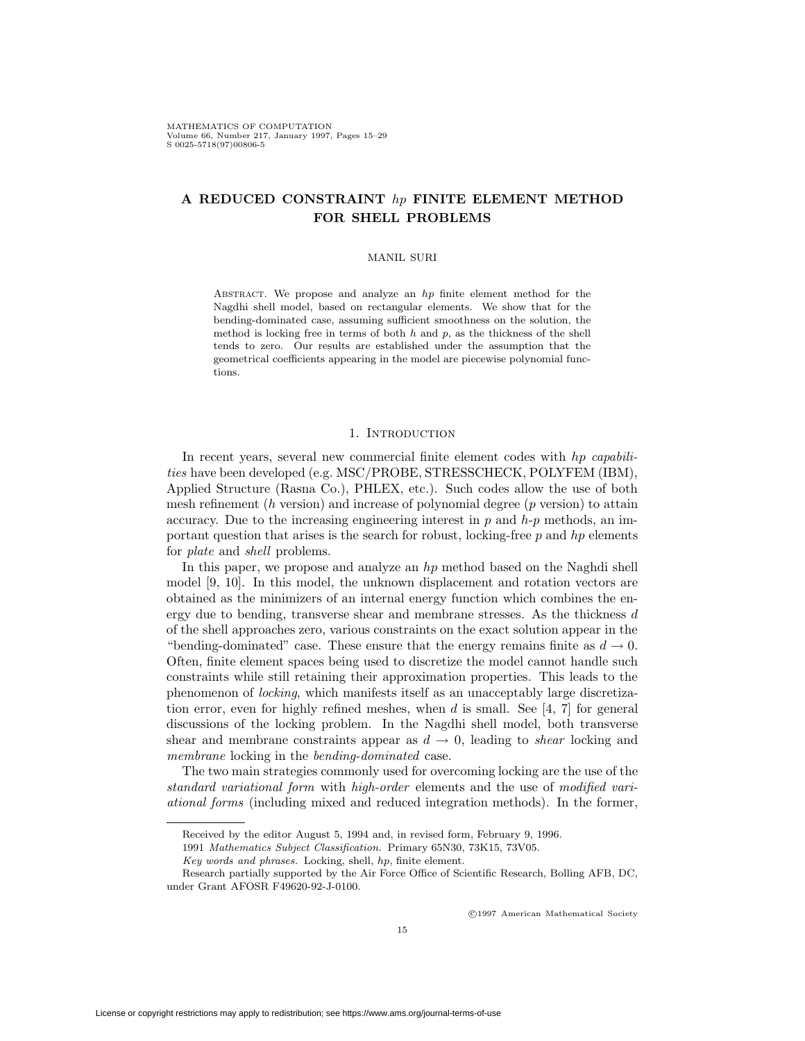# **A REDUCED CONSTRAINT** hp **FINITE ELEMENT METHOD FOR SHELL PROBLEMS**

### MANIL SURI

ABSTRACT. We propose and analyze an  $hp$  finite element method for the Nagdhi shell model, based on rectangular elements. We show that for the bending-dominated case, assuming sufficient smoothness on the solution, the method is locking free in terms of both  $h$  and  $p$ , as the thickness of the shell tends to zero. Our results are established under the assumption that the geometrical coefficients appearing in the model are piecewise polynomial functions.

### 1. INTRODUCTION

In recent years, several new commercial finite element codes with hp capabilities have been developed (e.g. MSC/PROBE, STRESSCHECK, POLYFEM (IBM), Applied Structure (Rasna Co.), PHLEX, etc.). Such codes allow the use of both mesh refinement  $(h$  version) and increase of polynomial degree  $(p$  version) to attain accuracy. Due to the increasing engineering interest in  $p$  and  $h-p$  methods, an important question that arises is the search for robust, locking-free  $p$  and  $hp$  elements for plate and shell problems.

In this paper, we propose and analyze an  $hp$  method based on the Naghdi shell model [9, 10]. In this model, the unknown displacement and rotation vectors are obtained as the minimizers of an internal energy function which combines the energy due to bending, transverse shear and membrane stresses. As the thickness d of the shell approaches zero, various constraints on the exact solution appear in the "bending-dominated" case. These ensure that the energy remains finite as  $d \to 0$ . Often, finite element spaces being used to discretize the model cannot handle such constraints while still retaining their approximation properties. This leads to the phenomenon of locking, which manifests itself as an unacceptably large discretization error, even for highly refined meshes, when  $d$  is small. See [4, 7] for general discussions of the locking problem. In the Nagdhi shell model, both transverse shear and membrane constraints appear as  $d \to 0$ , leading to *shear* locking and membrane locking in the bending-dominated case.

The two main strategies commonly used for overcoming locking are the use of the standard variational form with high-order elements and the use of modified variational forms (including mixed and reduced integration methods). In the former,

c 1997 American Mathematical Society

Received by the editor August 5, 1994 and, in revised form, February 9, 1996.

<sup>1991</sup> Mathematics Subject Classification. Primary 65N30, 73K15, 73V05.

Key words and phrases. Locking, shell, hp, finite element.

Research partially supported by the Air Force Office of Scientific Research, Bolling AFB, DC, under Grant AFOSR F49620-92-J-0100.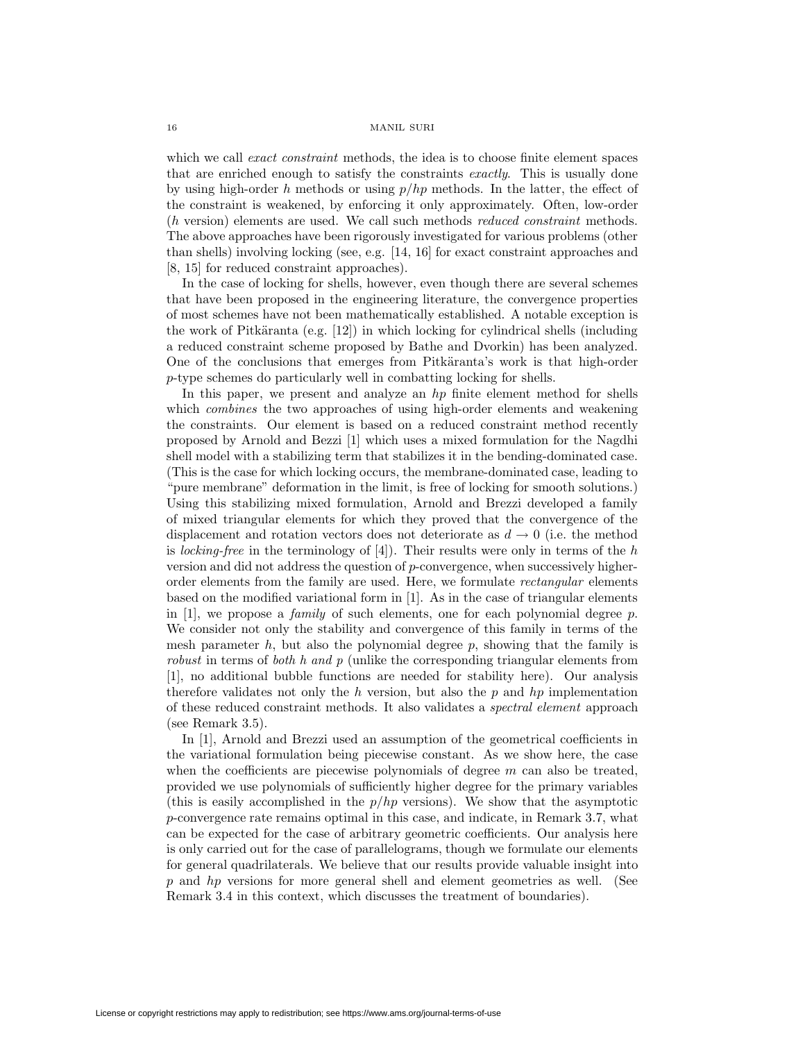#### 16 MANIL SURI

which we call *exact constraint* methods, the idea is to choose finite element spaces that are enriched enough to satisfy the constraints exactly. This is usually done by using high-order h methods or using  $p/hp$  methods. In the latter, the effect of the constraint is weakened, by enforcing it only approximately. Often, low-order (h version) elements are used. We call such methods reduced constraint methods. The above approaches have been rigorously investigated for various problems (other than shells) involving locking (see, e.g. [14, 16] for exact constraint approaches and [8, 15] for reduced constraint approaches).

In the case of locking for shells, however, even though there are several schemes that have been proposed in the engineering literature, the convergence properties of most schemes have not been mathematically established. A notable exception is the work of Pitkäranta (e.g.  $[12]$ ) in which locking for cylindrical shells (including a reduced constraint scheme proposed by Bathe and Dvorkin) has been analyzed. One of the conclusions that emerges from Pitkäranta's work is that high-order p-type schemes do particularly well in combatting locking for shells.

In this paper, we present and analyze an h<sub>p</sub> finite element method for shells which *combines* the two approaches of using high-order elements and weakening the constraints. Our element is based on a reduced constraint method recently proposed by Arnold and Bezzi [1] which uses a mixed formulation for the Nagdhi shell model with a stabilizing term that stabilizes it in the bending-dominated case. (This is the case for which locking occurs, the membrane-dominated case, leading to "pure membrane" deformation in the limit, is free of locking for smooth solutions.) Using this stabilizing mixed formulation, Arnold and Brezzi developed a family of mixed triangular elements for which they proved that the convergence of the displacement and rotation vectors does not deteriorate as  $d \rightarrow 0$  (i.e. the method is *locking-free* in the terminology of  $[4]$ ). Their results were only in terms of the h version and did not address the question of p-convergence, when successively higherorder elements from the family are used. Here, we formulate rectangular elements based on the modified variational form in [1]. As in the case of triangular elements in [1], we propose a *family* of such elements, one for each polynomial degree p. We consider not only the stability and convergence of this family in terms of the mesh parameter h, but also the polynomial degree  $p$ , showing that the family is robust in terms of both h and p (unlike the corresponding triangular elements from [1], no additional bubble functions are needed for stability here). Our analysis therefore validates not only the h version, but also the  $p$  and  $hp$  implementation of these reduced constraint methods. It also validates a spectral element approach (see Remark 3.5).

In [1], Arnold and Brezzi used an assumption of the geometrical coefficients in the variational formulation being piecewise constant. As we show here, the case when the coefficients are piecewise polynomials of degree  $m$  can also be treated, provided we use polynomials of sufficiently higher degree for the primary variables (this is easily accomplished in the  $p/hp$  versions). We show that the asymptotic p-convergence rate remains optimal in this case, and indicate, in Remark 3.7, what can be expected for the case of arbitrary geometric coefficients. Our analysis here is only carried out for the case of parallelograms, though we formulate our elements for general quadrilaterals. We believe that our results provide valuable insight into p and hp versions for more general shell and element geometries as well. (See Remark 3.4 in this context, which discusses the treatment of boundaries).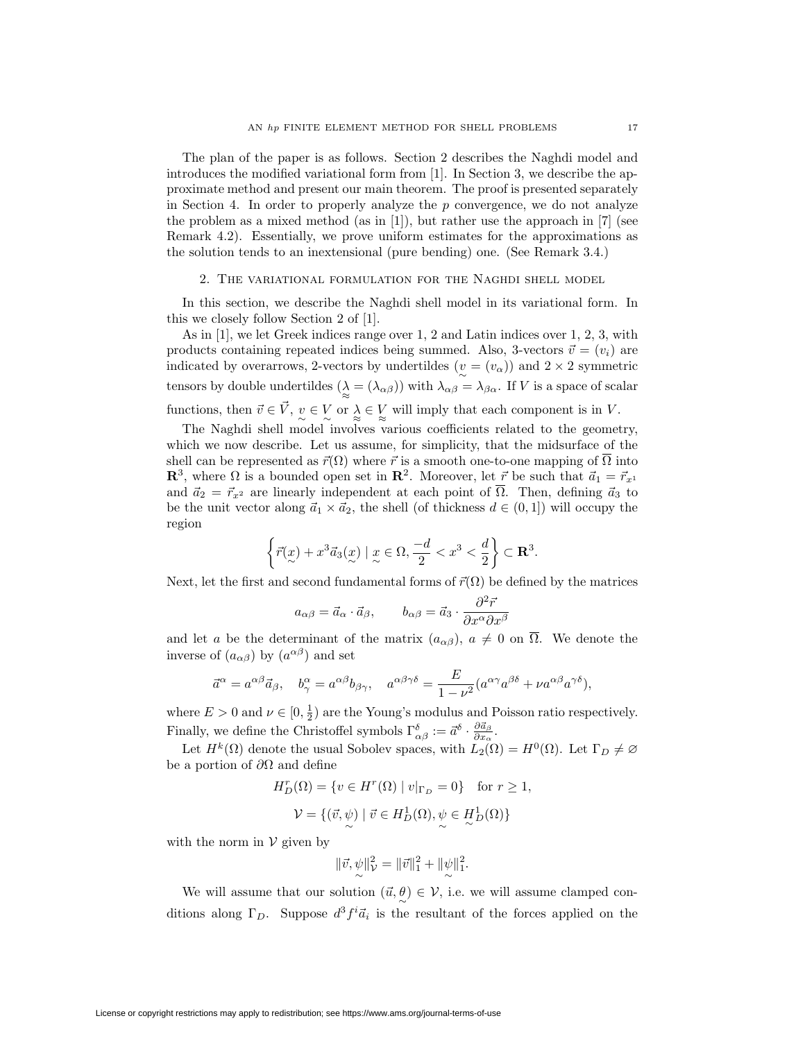The plan of the paper is as follows. Section 2 describes the Naghdi model and introduces the modified variational form from [1]. In Section 3, we describe the approximate method and present our main theorem. The proof is presented separately in Section 4. In order to properly analyze the  $p$  convergence, we do not analyze the problem as a mixed method (as in  $[1]$ ), but rather use the approach in  $[7]$  (see Remark 4.2). Essentially, we prove uniform estimates for the approximations as the solution tends to an inextensional (pure bending) one. (See Remark 3.4.)

### 2. The variational formulation for the Naghdi shell model

In this section, we describe the Naghdi shell model in its variational form. In this we closely follow Section 2 of [1].

As in [1], we let Greek indices range over 1, 2 and Latin indices over 1, 2, 3, with products containing repeated indices being summed. Also, 3-vectors  $\vec{v} = (v_i)$  are indicated by overarrows, 2-vectors by undertildes  $(v = (v_\alpha))$  and  $2 \times 2$  symmetric tensors by double undertildes  $(\lambda \geq (\lambda_{\alpha\beta}))$  with  $\lambda_{\alpha\beta} = \lambda_{\beta\alpha}$ . If V is a space of scalar functions, then  $\vec{v} \in \vec{V}$ ,  $v \in V$  or  $\lambda \in V$  will imply that each component is in V.

The Naghdi shell model involves various coefficients related to the geometry, which we now describe. Let us assume, for simplicity, that the midsurface of the shell can be represented as  $\vec{r}(\Omega)$  where  $\vec{r}$  is a smooth one-to-one mapping of  $\Omega$  into **R**<sup>3</sup>, where  $\Omega$  is a bounded open set in **R**<sup>2</sup>. Moreover, let  $\vec{r}$  be such that  $\vec{a}_1 = \vec{r}_{x^1}$ and  $\vec{a}_2 = \vec{r}_{x^2}$  are linearly independent at each point of  $\overline{\Omega}$ . Then, defining  $\vec{a}_3$  to be the unit vector along  $\vec{a}_1 \times \vec{a}_2$ , the shell (of thickness  $d \in (0,1]$ ) will occupy the region

$$
\left\{\vec{r}(\underbar{x})+x^3\vec{a}_3(\underbar{x})\mid \underbar{x}\in\Omega,\frac{-d}{2}
$$

Next, let the first and second fundamental forms of  $\vec{r}(\Omega)$  be defined by the matrices

$$
a_{\alpha\beta} = \vec{a}_{\alpha} \cdot \vec{a}_{\beta}, \qquad b_{\alpha\beta} = \vec{a}_{3} \cdot \frac{\partial^2 \vec{r}}{\partial x^{\alpha} \partial x^{\beta}}
$$

and let a be the determinant of the matrix  $(a_{\alpha\beta})$ ,  $a \neq 0$  on  $\overline{\Omega}$ . We denote the inverse of  $(a_{\alpha\beta})$  by  $(a^{\alpha\beta})$  and set

$$
\vec{a}^{\alpha} = a^{\alpha\beta}\vec{a}_{\beta}, \quad b^{\alpha}_{\gamma} = a^{\alpha\beta}b_{\beta\gamma}, \quad a^{\alpha\beta\gamma\delta} = \frac{E}{1 - \nu^2}(a^{\alpha\gamma}a^{\beta\delta} + \nu a^{\alpha\beta}a^{\gamma\delta}),
$$

where  $E > 0$  and  $\nu \in [0, \frac{1}{2})$  are the Young's modulus and Poisson ratio respectively. Finally, we define the Christoffel symbols  $\Gamma^{\delta}_{\alpha\beta} := \vec{a}^{\delta} \cdot \frac{\partial \vec{a}_{\beta}}{\partial x_{\alpha}}$ .

Let  $H^k(\Omega)$  denote the usual Sobolev spaces, with  $L_2(\Omega) = H^0(\Omega)$ . Let  $\Gamma_D \neq \emptyset$ be a portion of  $\partial\Omega$  and define

$$
H_D^r(\Omega) = \{ v \in H^r(\Omega) \mid v|_{\Gamma_D} = 0 \} \text{ for } r \ge 1,
$$
  

$$
\mathcal{V} = \{ (\vec{v}, \psi) \mid \vec{v} \in H_D^1(\Omega), \psi \in H_D^1(\Omega) \}
$$

with the norm in  $\mathcal V$  given by

$$
\|\vec{v}, \psi\|_{\mathcal{V}}^2 = \|\vec{v}\|_{1}^2 + \|\psi\|_{1}^2.
$$

We will assume that our solution  $(\vec{u}, \theta) \in \mathcal{V}$ , i.e. we will assume clamped conditions along  $\Gamma_D$ . Suppose  $d^3 f^i \vec{a}_i$  is the resultant of the forces applied on the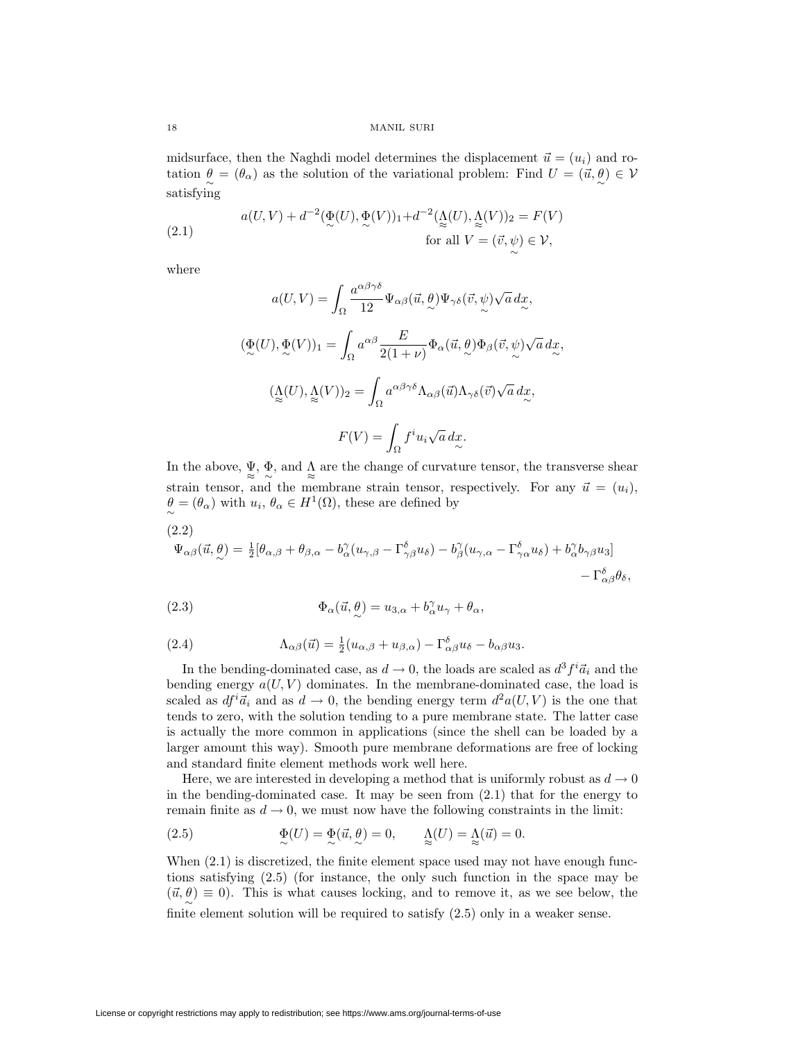midsurface, then the Naghdi model determines the displacement  $\vec{u} = (u_i)$  and rotation  $\theta = (\theta_{\alpha})$  as the solution of the variational problem: Find  $U = (\vec{u}, \theta) \in V$ satisfying

∼

(2.1) 
$$
a(U,V) + d^{-2}(\Phi(U), \Phi(V))_1 + d^{-2}(\Lambda(U), \Lambda(V))_2 = F(V)
$$
  
for all  $V = (\vec{v}, \psi) \in V$ ,

where

$$
a(U, V) = \int_{\Omega} \frac{a^{\alpha\beta\gamma\delta}}{12} \Psi_{\alpha\beta}(\vec{u}, \theta) \Psi_{\gamma\delta}(\vec{v}, \psi) \sqrt{a} \, dx,
$$
  

$$
(\underline{\Phi}(U), \underline{\Phi}(V))_1 = \int_{\Omega} a^{\alpha\beta} \frac{E}{2(1+\nu)} \Phi_{\alpha}(\vec{u}, \theta) \Phi_{\beta}(\vec{v}, \psi) \sqrt{a} \, dx,
$$
  

$$
(\underline{\Lambda}(U), \underline{\Lambda}(V))_2 = \int_{\Omega} a^{\alpha\beta\gamma\delta} \Lambda_{\alpha\beta}(\vec{u}) \Lambda_{\gamma\delta}(\vec{v}) \sqrt{a} \, dx,
$$
  

$$
F(V) = \int_{\Omega} f^i u_i \sqrt{a} \, dx.
$$

In the above,  $\Psi$ ,  $\Phi$ , and  $\Lambda$  are the change of curvature tensor, the transverse shear strain tensor, and the membrane strain tensor, respectively. For any  $\vec{u} = (u_i)$ ,  $\theta \to (\theta_{\alpha})$  with  $u_i, \theta_{\alpha} \in H^1(\Omega)$ , these are defined by

(2.2)  
\n
$$
\Psi_{\alpha\beta}(\vec{u}, \theta) = \frac{1}{2} [\theta_{\alpha,\beta} + \theta_{\beta,\alpha} - b_{\alpha}^{\gamma} (u_{\gamma,\beta} - \Gamma^{\delta}_{\gamma\beta} u_{\delta}) - b_{\beta}^{\gamma} (u_{\gamma,\alpha} - \Gamma^{\delta}_{\gamma\alpha} u_{\delta}) + b_{\alpha}^{\gamma} b_{\gamma\beta} u_{3}] - \Gamma^{\delta}_{\alpha\beta} \theta_{\delta},
$$

(2.3) 
$$
\Phi_{\alpha}(\vec{u}, \theta) = u_{3,\alpha} + b_{\alpha}^{\gamma} u_{\gamma} + \theta_{\alpha},
$$

(2.4) 
$$
\Lambda_{\alpha\beta}(\vec{u}) = \frac{1}{2}(u_{\alpha,\beta} + u_{\beta,\alpha}) - \Gamma^{\delta}_{\alpha\beta}u_{\delta} - b_{\alpha\beta}u_{3}.
$$

In the bending-dominated case, as  $d \to 0$ , the loads are scaled as  $d^3 f^i \vec{a}_i$  and the bending energy  $a(U, V)$  dominates. In the membrane-dominated case, the load is scaled as  $df^i \vec{a}_i$  and as  $d \to 0$ , the bending energy term  $d^2a(U, V)$  is the one that tends to zero, with the solution tending to a pure membrane state. The latter case is actually the more common in applications (since the shell can be loaded by a larger amount this way). Smooth pure membrane deformations are free of locking and standard finite element methods work well here.

Here, we are interested in developing a method that is uniformly robust as  $d \to 0$ in the bending-dominated case. It may be seen from (2.1) that for the energy to remain finite as  $d \to 0$ , we must now have the following constraints in the limit:

(2.5) 
$$
\underset{\sim}{\Phi}(U) = \underset{\sim}{\Phi}(\vec{u}, \frac{\theta}{\omega}) = 0, \qquad \underset{\approx}{\Lambda}(U) = \underset{\approx}{\Lambda}(\vec{u}) = 0.
$$

When  $(2.1)$  is discretized, the finite element space used may not have enough functions satisfying (2.5) (for instance, the only such function in the space may be  $(\vec{u}, \theta) \equiv 0$ . This is what causes locking, and to remove it, as we see below, the finite element solution will be required to satisfy (2.5) only in a weaker sense.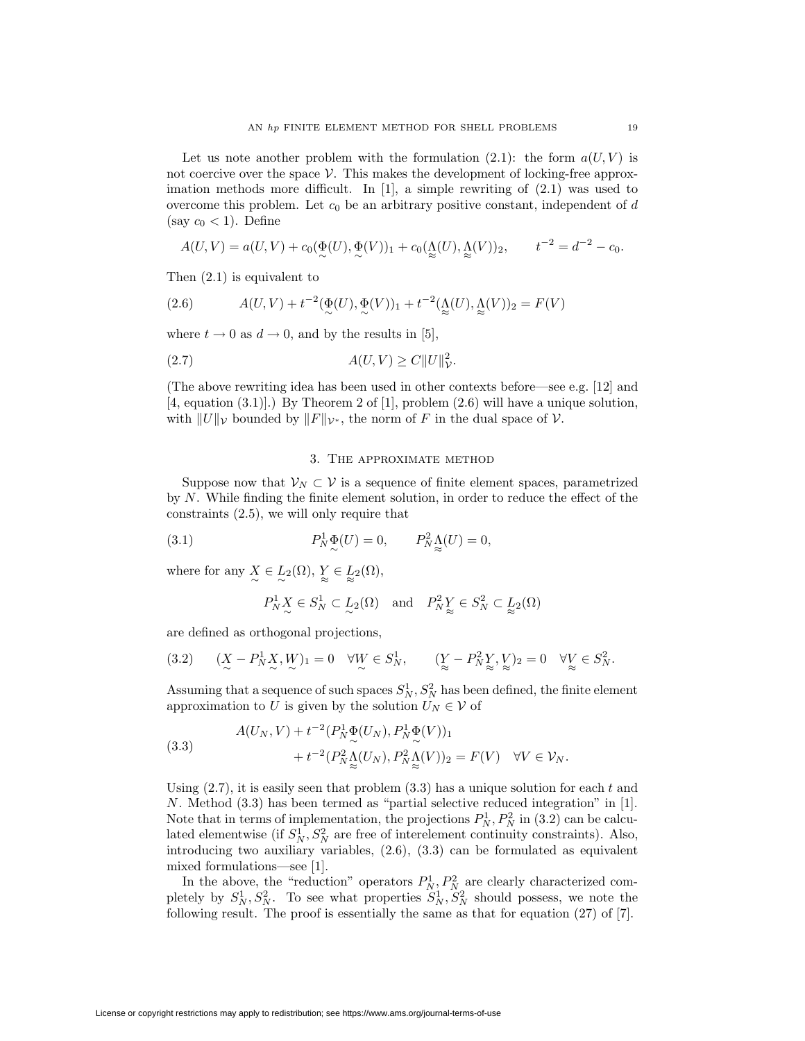Let us note another problem with the formulation  $(2.1)$ : the form  $a(U, V)$  is not coercive over the space  $\mathcal V$ . This makes the development of locking-free approximation methods more difficult. In [1], a simple rewriting of (2.1) was used to overcome this problem. Let  $c_0$  be an arbitrary positive constant, independent of d (say  $c_0 < 1$ ). Define

$$
A(U,V) = a(U,V) + c_0(\underbrace{\Phi}(U), \underbrace{\Phi}(V))_1 + c_0(\underbrace{\Lambda}(U), \underbrace{\Lambda}(V))_2, \qquad t^{-2} = d^{-2} - c_0.
$$

Then (2.1) is equivalent to

(2.6) 
$$
A(U, V) + t^{-2} (\mathcal{Q}(U), \mathcal{Q}(V))_1 + t^{-2} (\mathcal{Q}(U), \mathcal{Q}(V))_2 = F(V)
$$

where  $t \to 0$  as  $d \to 0$ , and by the results in [5],

$$
(2.7) \t\t A(U,V) \ge C||U||^2_{\mathcal{V}}.
$$

(The above rewriting idea has been used in other contexts before—see e.g. [12] and [4, equation (3.1)].) By Theorem 2 of [1], problem (2.6) will have a unique solution, with  $||U||_{\mathcal{V}}$  bounded by  $||F||_{\mathcal{V}^*}$ , the norm of F in the dual space of V.

### 3. The approximate method

Suppose now that  $\mathcal{V}_N \subset \mathcal{V}$  is a sequence of finite element spaces, parametrized by N. While finding the finite element solution, in order to reduce the effect of the constraints (2.5), we will only require that

(3.1) 
$$
P_N^1 \underset{\sim}{\Phi}(U) = 0, \qquad P_N^2 \underset{\approx}{\Lambda}(U) = 0,
$$

where for any  $X \in L_2(\Omega)$ ,  $Y \in L_2(\Omega)$ ,

$$
P_N^1 X \in S_N^1 \subset L_2(\Omega)
$$
 and  $P_N^2 Y \in S_N^2 \subset L_2(\Omega)$ 

are defined as orthogonal projections,

$$
(3.2) \quad (\underset{\sim}{X} - P_N^1 \underset{\sim}{X}, \underset{\sim}{W})_1 = 0 \quad \forall \underset{\sim}{W} \in S_N^1, \quad (\underset{\approx}{Y} - P_N^2 \underset{\approx}{Y}, \underset{\sim}{V})_2 = 0 \quad \forall \underset{\approx}{V} \in S_N^2.
$$

Assuming that a sequence of such spaces  $S_N^1, S_N^2$  has been defined, the finite element approximation to U is given by the solution  $U_N \in \mathcal{V}$  of

(3.3) 
$$
A(U_N, V) + t^{-2} (P_N^1 \Phi(U_N), P_N^1 \Phi(V))_1 + t^{-2} (P_N^2 \Delta(U_N), P_N^2 \Delta(V))_2 = F(V) \quad \forall V \in \mathcal{V}_N.
$$

Using  $(2.7)$ , it is easily seen that problem  $(3.3)$  has a unique solution for each t and N. Method (3.3) has been termed as "partial selective reduced integration" in [1]. Note that in terms of implementation, the projections  $P_N^1, P_N^2$  in (3.2) can be calculated elementwise (if  $S_N^1, S_N^2$  are free of interelement continuity constraints). Also, introducing two auxiliary variables, (2.6), (3.3) can be formulated as equivalent mixed formulations—see [1].

In the above, the "reduction" operators  $P_N^1, P_N^2$  are clearly characterized completely by  $S_N^1, S_N^2$ . To see what properties  $S_N^1, S_N^2$  should possess, we note the following result. The proof is essentially the same as that for equation (27) of [7].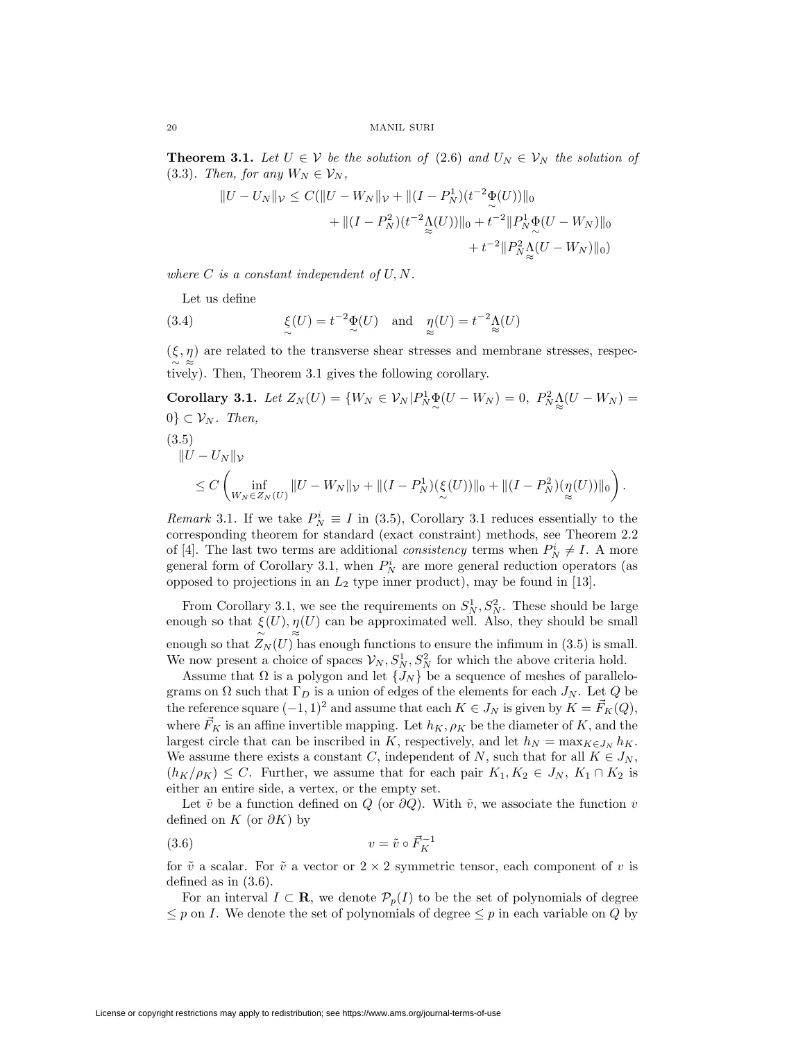**Theorem 3.1.** Let  $U \in \mathcal{V}$  be the solution of (2.6) and  $U_N \in \mathcal{V}_N$  the solution of (3.3). Then, for any  $W_N \in \mathcal{V}_N$ ,

$$
||U - U_N||_{\mathcal{V}} \leq C(||U - W_N||_{\mathcal{V}} + ||(I - P_N^1)(t^{-2}\Phi(U))||_0
$$
  
+ 
$$
||(I - P_N^2)(t^{-2}\Delta(U))||_0 + t^{-2}||P_N^1\Phi(U - W_N)||_0
$$
  
+ 
$$
t^{-2}||P_N^2\Delta(U - W_N)||_0)
$$

where  $C$  is a constant independent of  $U, N$ .

Let us define

(3.4) 
$$
\xi(U) = t^{-2} \Phi(U) \text{ and } \eta(U) = t^{-2} \Lambda(U)
$$

 $(\xi, \eta)$  are related to the transverse shear stresses and membrane stresses, respec-∼ ≈ tively). Then, Theorem 3.1 gives the following corollary.

**Corollary 3.1.** Let  $Z_N(U) = \{W_N \in \mathcal{V}_N | P_N^1 \Phi(U - W_N) = 0, P_N^2 \Delta(U - W_N) = 0\}$  $0\} \subset \mathcal{V}_N$ . Then, (3.5)

$$
||U - U_N||_V
$$
  
\n
$$
\leq C \left( \inf_{W_N \in Z_N(U)} ||U - W_N||_V + ||(I - P_N^1)(\xi(U))||_0 + ||(I - P_N^2)(\eta(U))||_0 \right).
$$

Remark 3.1. If we take  $P_N^i \equiv I$  in (3.5), Corollary 3.1 reduces essentially to the corresponding theorem for standard (exact constraint) methods, see Theorem 2.2 of [4]. The last two terms are additional *consistency* terms when  $P_N^i \neq I$ . A more general form of Corollary 3.1, when  $P_N^i$  are more general reduction operators (as opposed to projections in an  $L_2$  type inner product), may be found in [13].

From Corollary 3.1, we see the requirements on  $S_N^1, S_N^2$ . These should be large enough so that  $\xi(U), \eta(U)$  can be approximated well. Also, they should be small enough so that  $\widetilde{Z}_N(U)$  has enough functions to ensure the infimum in (3.5) is small. We now present a choice of spaces  $\mathcal{V}_N$ ,  $S_N^1$ ,  $S_N^2$  for which the above criteria hold.

Assume that  $\Omega$  is a polygon and let  $\{J_N\}$  be a sequence of meshes of parallelograms on  $\Omega$  such that  $\Gamma_D$  is a union of edges of the elements for each  $J_N$ . Let Q be the reference square  $(-1, 1)^2$  and assume that each  $K \in J_N$  is given by  $K = \vec{F}_K(Q)$ , where  $\vec{F}_K$  is an affine invertible mapping. Let  $h_K, \rho_K$  be the diameter of K, and the largest circle that can be inscribed in K, respectively, and let  $h_N = \max_{K \in J_N} h_K$ . We assume there exists a constant C, independent of N, such that for all  $K \in J_N$ ,  $(h_K/\rho_K) \leq C$ . Further, we assume that for each pair  $K_1, K_2 \in J_N$ ,  $K_1 \cap K_2$  is either an entire side, a vertex, or the empty set.

Let  $\tilde{v}$  be a function defined on Q (or  $\partial Q$ ). With  $\tilde{v}$ , we associate the function v defined on  $K$  (or  $\partial K$ ) by

$$
(3.6) \t\t v = \tilde{v} \circ \vec{F}_K^{-1}
$$

for  $\tilde{v}$  a scalar. For  $\tilde{v}$  a vector or  $2 \times 2$  symmetric tensor, each component of v is defined as in (3.6).

For an interval  $I \subset \mathbf{R}$ , we denote  $\mathcal{P}_p(I)$  to be the set of polynomials of degree  $\leq p$  on *I*. We denote the set of polynomials of degree  $\leq p$  in each variable on *Q* by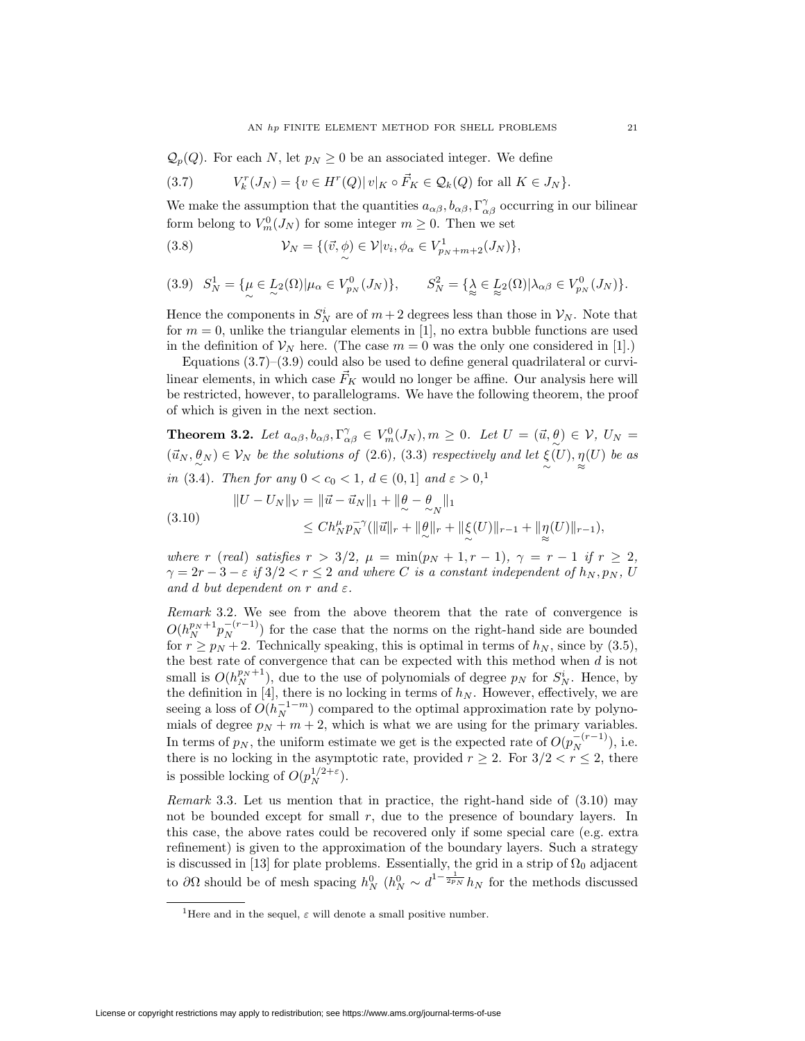$\mathcal{Q}_p(Q)$ . For each N, let  $p_N \geq 0$  be an associated integer. We define

(3.7) 
$$
V_k^r(J_N) = \{ v \in H^r(Q) | v|_K \circ \vec{F}_K \in \mathcal{Q}_k(Q) \text{ for all } K \in J_N \}.
$$

We make the assumption that the quantities  $a_{\alpha\beta}, b_{\alpha\beta}, \Gamma^{\gamma}_{\alpha\beta}$  occurring in our bilinear form belong to  $V_m^0(J_N)$  for some integer  $m \geq 0$ . Then we set

(3.8) 
$$
\mathcal{V}_N = \{(\vec{v}, \phi) \in \mathcal{V}|v_i, \phi_\alpha \in V^1_{p_N + m + 2}(J_N)\},\
$$

$$
(3.9) \quad S_N^1 = \{ \mu \in L_2(\Omega) | \mu_\alpha \in V_{p_N}^0(J_N) \}, \qquad S_N^2 = \{ \lambda \in L_2(\Omega) | \lambda_{\alpha\beta} \in V_{p_N}^0(J_N) \}.
$$

Hence the components in  $S_N^i$  are of  $m+2$  degrees less than those in  $\mathcal{V}_N$ . Note that for  $m = 0$ , unlike the triangular elements in [1], no extra bubble functions are used in the definition of  $\mathcal{V}_N$  here. (The case  $m = 0$  was the only one considered in [1].)

Equations  $(3.7)$ – $(3.9)$  could also be used to define general quadrilateral or curvilinear elements, in which case  $\vec{F}_K$  would no longer be affine. Our analysis here will be restricted, however, to parallelograms. We have the following theorem, the proof of which is given in the next section.

**Theorem 3.2.** Let  $a_{\alpha\beta}, b_{\alpha\beta}, \Gamma^{\gamma}_{\alpha\beta} \in V^0_w(J_N), m \ge 0$ . Let  $U = (\vec{u}, \theta) \in V$ ,  $U_N =$  $(\vec{u}_N, \theta_N) \in \mathcal{V}_N$  be the solutions of (2.6), (3.3) respectively and let  $\xi$  $(U), \eta$ ≈  $(U)$  be as in (3.4). Then for any  $0 < c_0 < 1, d \in (0,1]$  and  $\varepsilon > 0,$ <sup>1</sup>

$$
||U - U_N||_{\mathcal{V}} = ||\vec{u} - \vec{u}_N||_1 + ||\theta - \theta \nightharpoonup_N ||_1
$$
\n
$$
\leq Ch_N^{\mu} p_N^{-\gamma} (||\vec{u}||_r + ||\theta||_r + ||\xi(U)||_{r-1} + ||\eta(U)||_{r-1}),
$$
\n(3.10)

where r (real) satisfies  $r > 3/2$ ,  $\mu = \min(p_N + 1, r - 1)$ ,  $\gamma = r - 1$  if  $r \ge 2$ ,  $\gamma = 2r - 3 - \varepsilon$  if  $3/2 < r < 2$  and where C is a constant independent of  $h_N, p_N, U$ and d but dependent on r and  $\varepsilon$ .

∼

≈

Remark 3.2. We see from the above theorem that the rate of convergence is  $O(h_N^{p_N+1}p_N^{-(r-1)})$  for the case that the norms on the right-hand side are bounded for  $r \geq p_N + 2$ . Technically speaking, this is optimal in terms of  $h_N$ , since by (3.5), the best rate of convergence that can be expected with this method when d is not small is  $O(h_N^{p_N+1})$ , due to the use of polynomials of degree  $p_N$  for  $S_N^i$ . Hence, by the definition in [4], there is no locking in terms of  $h_N$ . However, effectively, we are seeing a loss of  $O(h_N^{-1-m})$  compared to the optimal approximation rate by polynomials of degree  $p_N + m + 2$ , which is what we are using for the primary variables. In terms of  $p_N$ , the uniform estimate we get is the expected rate of  $O(p_N^{-(r-1)})$ , i.e. there is no locking in the asymptotic rate, provided  $r \geq 2$ . For  $3/2 < r \leq 2$ , there is possible locking of  $O(p_N^{1/2+\epsilon})$ .

Remark 3.3. Let us mention that in practice, the right-hand side of (3.10) may not be bounded except for small  $r$ , due to the presence of boundary layers. In this case, the above rates could be recovered only if some special care (e.g. extra refinement) is given to the approximation of the boundary layers. Such a strategy is discussed in [13] for plate problems. Essentially, the grid in a strip of  $\Omega_0$  adjacent to  $\partial\Omega$  should be of mesh spacing  $h_N^0$  ( $h_N^0 \sim d^{1-\frac{1}{2p_N}} h_N$  for the methods discussed

<sup>&</sup>lt;sup>1</sup>Here and in the sequel,  $\varepsilon$  will denote a small positive number.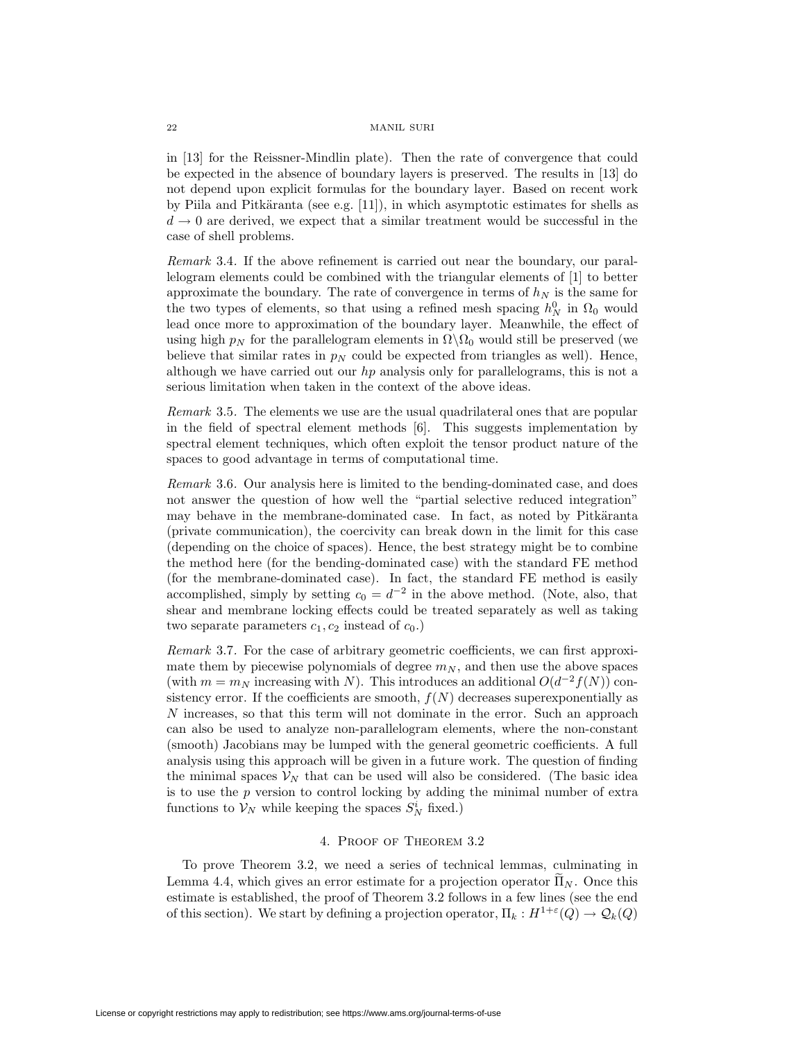#### 22 MANIL SURI

in [13] for the Reissner-Mindlin plate). Then the rate of convergence that could be expected in the absence of boundary layers is preserved. The results in [13] do not depend upon explicit formulas for the boundary layer. Based on recent work by Piila and Pitkäranta (see e.g.  $[11]$ ), in which asymptotic estimates for shells as  $d\rightarrow 0$  are derived, we expect that a similar treatment would be successful in the case of shell problems.

Remark 3.4. If the above refinement is carried out near the boundary, our parallelogram elements could be combined with the triangular elements of [1] to better approximate the boundary. The rate of convergence in terms of  $h_N$  is the same for the two types of elements, so that using a refined mesh spacing  $h_N^0$  in  $\Omega_0$  would lead once more to approximation of the boundary layer. Meanwhile, the effect of using high  $p_N$  for the parallelogram elements in  $\Omega \backslash \Omega_0$  would still be preserved (we believe that similar rates in  $p<sub>N</sub>$  could be expected from triangles as well). Hence, although we have carried out our hp analysis only for parallelograms, this is not a serious limitation when taken in the context of the above ideas.

Remark 3.5. The elements we use are the usual quadrilateral ones that are popular in the field of spectral element methods [6]. This suggests implementation by spectral element techniques, which often exploit the tensor product nature of the spaces to good advantage in terms of computational time.

Remark 3.6. Our analysis here is limited to the bending-dominated case, and does not answer the question of how well the "partial selective reduced integration" may behave in the membrane-dominated case. In fact, as noted by Pitkäranta (private communication), the coercivity can break down in the limit for this case (depending on the choice of spaces). Hence, the best strategy might be to combine the method here (for the bending-dominated case) with the standard FE method (for the membrane-dominated case). In fact, the standard FE method is easily accomplished, simply by setting  $c_0 = d^{-2}$  in the above method. (Note, also, that shear and membrane locking effects could be treated separately as well as taking two separate parameters  $c_1, c_2$  instead of  $c_0$ .)

Remark 3.7. For the case of arbitrary geometric coefficients, we can first approximate them by piecewise polynomials of degree  $m_N$ , and then use the above spaces (with  $m = m_N$  increasing with N). This introduces an additional  $O(d^{-2}f(N))$  consistency error. If the coefficients are smooth,  $f(N)$  decreases superexponentially as N increases, so that this term will not dominate in the error. Such an approach can also be used to analyze non-parallelogram elements, where the non-constant (smooth) Jacobians may be lumped with the general geometric coefficients. A full analysis using this approach will be given in a future work. The question of finding the minimal spaces  $\mathcal{V}_N$  that can be used will also be considered. (The basic idea is to use the  $p$  version to control locking by adding the minimal number of extra functions to  $\mathcal{V}_N$  while keeping the spaces  $S_N^i$  fixed.)

## 4. Proof of Theorem 3.2

To prove Theorem 3.2, we need a series of technical lemmas, culminating in Lemma 4.4, which gives an error estimate for a projection operator  $\Pi_N$ . Once this estimate is established, the proof of Theorem 3.2 follows in a few lines (see the end of this section). We start by defining a projection operator,  $\Pi_k : H^{1+\epsilon}(Q) \to \mathcal{Q}_k(Q)$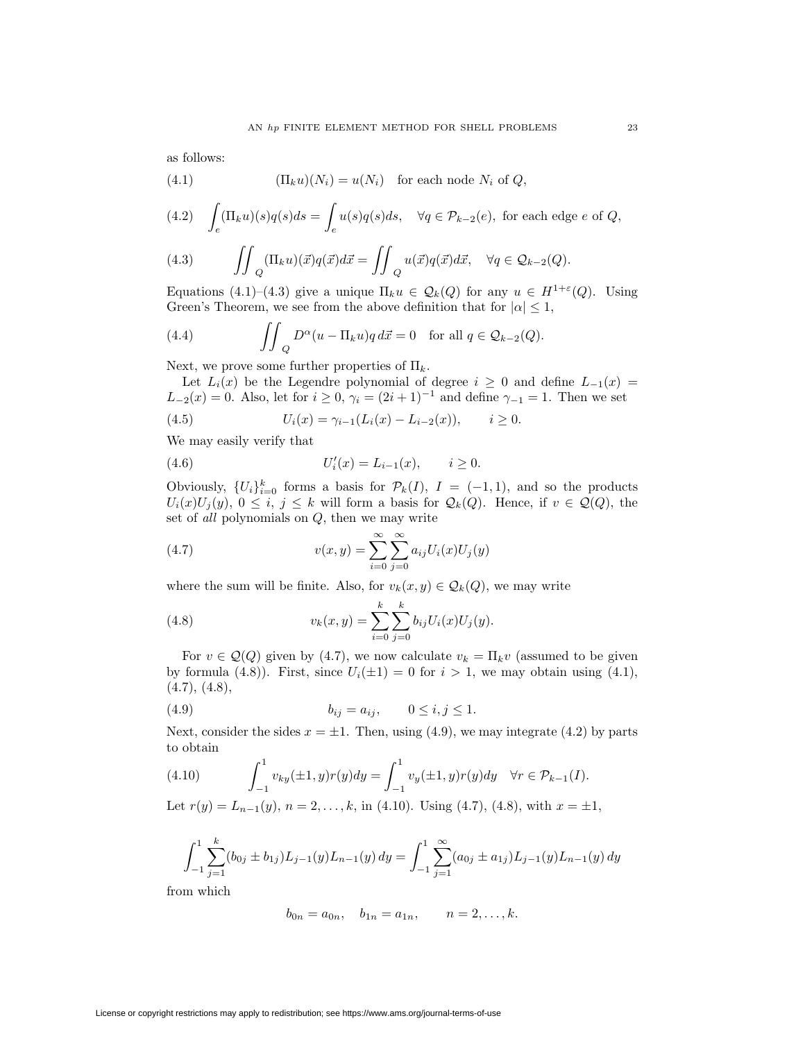as follows:

(4.1) 
$$
(\Pi_k u)(N_i) = u(N_i) \text{ for each node } N_i \text{ of } Q,
$$

(4.2) 
$$
\int_{e} (\Pi_{k} u)(s)q(s)ds = \int_{e} u(s)q(s)ds, \quad \forall q \in \mathcal{P}_{k-2}(e), \text{ for each edge } e \text{ of } Q,
$$

(4.3) 
$$
\iint_Q (\Pi_k u)(\vec{x}) q(\vec{x}) d\vec{x} = \iint_Q u(\vec{x}) q(\vec{x}) d\vec{x}, \quad \forall q \in \mathcal{Q}_{k-2}(Q).
$$

Equations (4.1)–(4.3) give a unique  $\Pi_k u \in \mathcal{Q}_k(Q)$  for any  $u \in H^{1+\varepsilon}(Q)$ . Using Green's Theorem, we see from the above definition that for  $|\alpha| \leq 1$ ,

(4.4) 
$$
\iint_{Q} D^{\alpha}(u - \Pi_{k}u)q d\vec{x} = 0 \text{ for all } q \in \mathcal{Q}_{k-2}(Q).
$$

Next, we prove some further properties of  $\Pi_k$ .

Let  $L_i(x)$  be the Legendre polynomial of degree  $i \geq 0$  and define  $L_{-1}(x) =$  $L_{-2}(x) = 0$ . Also, let for  $i \geq 0$ ,  $\gamma_i = (2i+1)^{-1}$  and define  $\gamma_{-1} = 1$ . Then we set

(4.5) 
$$
U_i(x) = \gamma_{i-1}(L_i(x) - L_{i-2}(x)), \qquad i \geq 0.
$$

We may easily verify that

(4.6) 
$$
U_i'(x) = L_{i-1}(x), \qquad i \ge 0.
$$

Obviously,  $\{U_i\}_{i=0}^k$  forms a basis for  $\mathcal{P}_k(I)$ ,  $I = (-1,1)$ , and so the products  $U_i(x)U_j(y), 0 \leq i, j \leq k$  will form a basis for  $\mathcal{Q}_k(Q)$ . Hence, if  $v \in \mathcal{Q}(Q)$ , the set of all polynomials on Q, then we may write

(4.7) 
$$
v(x,y) = \sum_{i=0}^{\infty} \sum_{j=0}^{\infty} a_{ij} U_i(x) U_j(y)
$$

where the sum will be finite. Also, for  $v_k(x, y) \in \mathcal{Q}_k(Q)$ , we may write

(4.8) 
$$
v_k(x,y) = \sum_{i=0}^k \sum_{j=0}^k b_{ij} U_i(x) U_j(y).
$$

For  $v \in \mathcal{Q}(Q)$  given by (4.7), we now calculate  $v_k = \Pi_k v$  (assumed to be given by formula (4.8)). First, since  $U_i(\pm 1) = 0$  for  $i > 1$ , we may obtain using (4.1),  $(4.7), (4.8),$ 

(4.9) 
$$
b_{ij} = a_{ij}, \qquad 0 \le i, j \le 1.
$$

Next, consider the sides  $x = \pm 1$ . Then, using (4.9), we may integrate (4.2) by parts to obtain

(4.10) 
$$
\int_{-1}^{1} v_{ky}(\pm 1, y) r(y) dy = \int_{-1}^{1} v_y(\pm 1, y) r(y) dy \quad \forall r \in \mathcal{P}_{k-1}(I).
$$

Let  $r(y) = L_{n-1}(y)$ ,  $n = 2, ..., k$ , in (4.10). Using (4.7), (4.8), with  $x = \pm 1$ ,

$$
\int_{-1}^{1} \sum_{j=1}^{k} (b_{0j} \pm b_{1j}) L_{j-1}(y) L_{n-1}(y) dy = \int_{-1}^{1} \sum_{j=1}^{\infty} (a_{0j} \pm a_{1j}) L_{j-1}(y) L_{n-1}(y) dy
$$

from which

$$
b_{0n} = a_{0n}, \quad b_{1n} = a_{1n}, \qquad n = 2, \ldots, k.
$$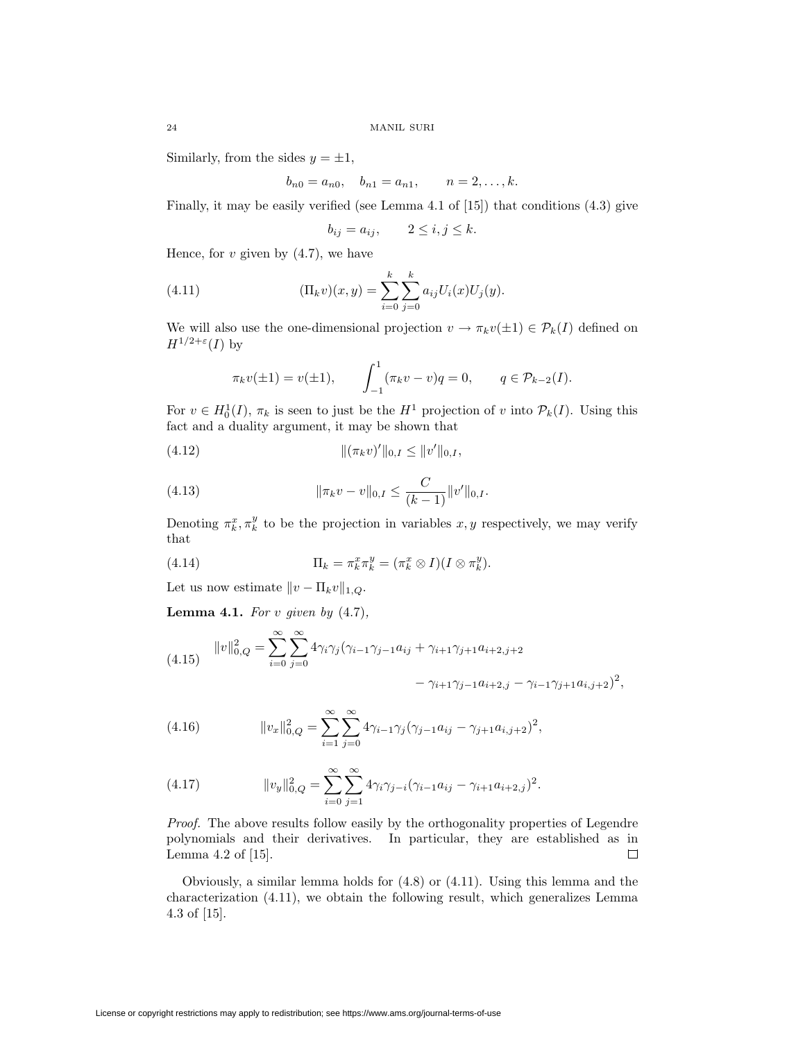Similarly, from the sides  $y = \pm 1$ ,

$$
b_{n0} = a_{n0}, \quad b_{n1} = a_{n1}, \qquad n = 2, \ldots, k.
$$

Finally, it may be easily verified (see Lemma 4.1 of [15]) that conditions (4.3) give

$$
b_{ij} = a_{ij}, \qquad 2 \le i, j \le k.
$$

Hence, for  $v$  given by  $(4.7)$ , we have

(4.11) 
$$
(\Pi_k v)(x, y) = \sum_{i=0}^k \sum_{j=0}^k a_{ij} U_i(x) U_j(y).
$$

We will also use the one-dimensional projection  $v \to \pi_k v(\pm 1) \in \mathcal{P}_k(I)$  defined on  $H^{1/2+\varepsilon}(I)$  by

$$
\pi_k v(\pm 1) = v(\pm 1),
$$
  $\int_{-1}^1 (\pi_k v - v) q = 0,$   $q \in \mathcal{P}_{k-2}(I).$ 

For  $v \in H_0^1(I)$ ,  $\pi_k$  is seen to just be the  $H^1$  projection of v into  $\mathcal{P}_k(I)$ . Using this fact and a duality argument, it may be shown that

$$
||(\pi_k v)'||_{0,I} \leq ||v'||_{0,I},
$$

(4.13) 
$$
\|\pi_k v - v\|_{0,I} \leq \frac{C}{(k-1)} \|v'\|_{0,I}.
$$

Denoting  $\pi_k^x, \pi_k^y$  to be the projection in variables  $x, y$  respectively, we may verify that

(4.14) 
$$
\Pi_k = \pi_k^x \pi_k^y = (\pi_k^x \otimes I)(I \otimes \pi_k^y).
$$

Let us now estimate  $||v - \Pi_k v||_{1,Q}$ .

**Lemma 4.1.** For *v* given by (4.7),

(4.15) 
$$
||v||_{0,Q}^2 = \sum_{i=0}^{\infty} \sum_{j=0}^{\infty} 4\gamma_i \gamma_j (\gamma_{i-1} \gamma_{j-1} a_{ij} + \gamma_{i+1} \gamma_{j+1} a_{i+2,j+2} - \gamma_{i-1} \gamma_{j+1} a_{i,j+2})^2,
$$

(4.16) 
$$
||v_x||_{0,Q}^2 = \sum_{i=1}^{\infty} \sum_{j=0}^{\infty} 4\gamma_{i-1}\gamma_j(\gamma_{j-1}a_{ij} - \gamma_{j+1}a_{i,j+2})^2,
$$

(4.17) 
$$
||v_y||_{0,Q}^2 = \sum_{i=0}^{\infty} \sum_{j=1}^{\infty} 4\gamma_i \gamma_{j-i} (\gamma_{i-1} a_{ij} - \gamma_{i+1} a_{i+2,j})^2.
$$

Proof. The above results follow easily by the orthogonality properties of Legendre polynomials and their derivatives. In particular, they are established as in  $\Box$ Lemma 4.2 of [15].

Obviously, a similar lemma holds for (4.8) or (4.11). Using this lemma and the characterization (4.11), we obtain the following result, which generalizes Lemma 4.3 of [15].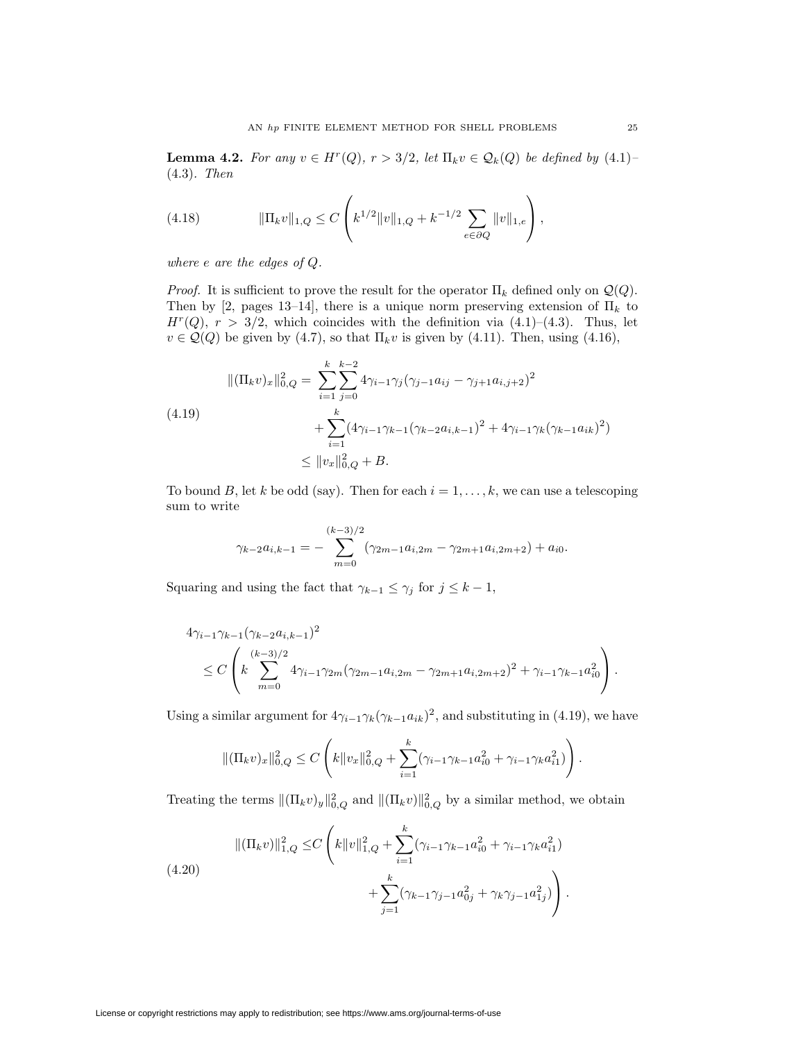**Lemma 4.2.** For any  $v \in H^r(Q)$ ,  $r > 3/2$ , let  $\Pi_k v \in \mathcal{Q}_k(Q)$  be defined by  $(4.1)$ (4.3). Then

(4.18) 
$$
\|\Pi_k v\|_{1,Q} \leq C \left( k^{1/2} \|v\|_{1,Q} + k^{-1/2} \sum_{e \in \partial Q} \|v\|_{1,e} \right),
$$

where e are the edges of Q.

*Proof.* It is sufficient to prove the result for the operator  $\Pi_k$  defined only on  $\mathcal{Q}(Q)$ . Then by [2, pages 13–14], there is a unique norm preserving extension of  $\Pi_k$  to  $H^r(Q)$ ,  $r > 3/2$ , which coincides with the definition via  $(4.1)$ – $(4.3)$ . Thus, let  $v \in \mathcal{Q}(Q)$  be given by (4.7), so that  $\Pi_k v$  is given by (4.11). Then, using (4.16),

$$
\begin{aligned} \|( \Pi_k v)_x \|_{0,Q}^2 &= \sum_{i=1}^k \sum_{j=0}^{k-2} 4\gamma_{i-1}\gamma_j (\gamma_{j-1}a_{ij} - \gamma_{j+1}a_{i,j+2})^2 \\ &+ \sum_{i=1}^k (4\gamma_{i-1}\gamma_{k-1}(\gamma_{k-2}a_{i,k-1})^2 + 4\gamma_{i-1}\gamma_k(\gamma_{k-1}a_{ik})^2) \\ &\le \| v_x \|_{0,Q}^2 + B. \end{aligned}
$$

To bound B, let k be odd (say). Then for each  $i = 1, \ldots, k$ , we can use a telescoping sum to write

$$
\gamma_{k-2}a_{i,k-1} = -\sum_{m=0}^{(k-3)/2} (\gamma_{2m-1}a_{i,2m} - \gamma_{2m+1}a_{i,2m+2}) + a_{i0}.
$$

Squaring and using the fact that  $\gamma_{k-1} \leq \gamma_j$  for  $j \leq k-1$ ,

$$
4\gamma_{i-1}\gamma_{k-1}(\gamma_{k-2}a_{i,k-1})^{2}
$$
  
\n
$$
\leq C\left(k\sum_{m=0}^{(k-3)/2}4\gamma_{i-1}\gamma_{2m}(\gamma_{2m-1}a_{i,2m}-\gamma_{2m+1}a_{i,2m+2})^{2}+\gamma_{i-1}\gamma_{k-1}a_{i0}^{2}\right).
$$

Using a similar argument for  $4\gamma_{i-1}\gamma_k(\gamma_{k-1}a_{ik})^2$ , and substituting in (4.19), we have

$$
\|(\Pi_k v)_x\|_{0,Q}^2 \le C\left(k\|v_x\|_{0,Q}^2 + \sum_{i=1}^k (\gamma_{i-1}\gamma_{k-1}a_{i0}^2 + \gamma_{i-1}\gamma_k a_{i1}^2)\right).
$$

Treating the terms  $\|(\Pi_k v)_y\|_{0,Q}^2$  and  $\|(\Pi_k v)\|_{0,Q}^2$  by a similar method, we obtain

(4.20)  
\n
$$
\|(\Pi_k v)\|_{1,Q}^2 \leq C \left(k\|v\|_{1,Q}^2 + \sum_{i=1}^k (\gamma_{i-1}\gamma_{k-1}a_{i0}^2 + \gamma_{i-1}\gamma_k a_{i1}^2) + \sum_{j=1}^k (\gamma_{k-1}\gamma_{j-1}a_{0j}^2 + \gamma_k\gamma_{j-1}a_{1j}^2)\right).
$$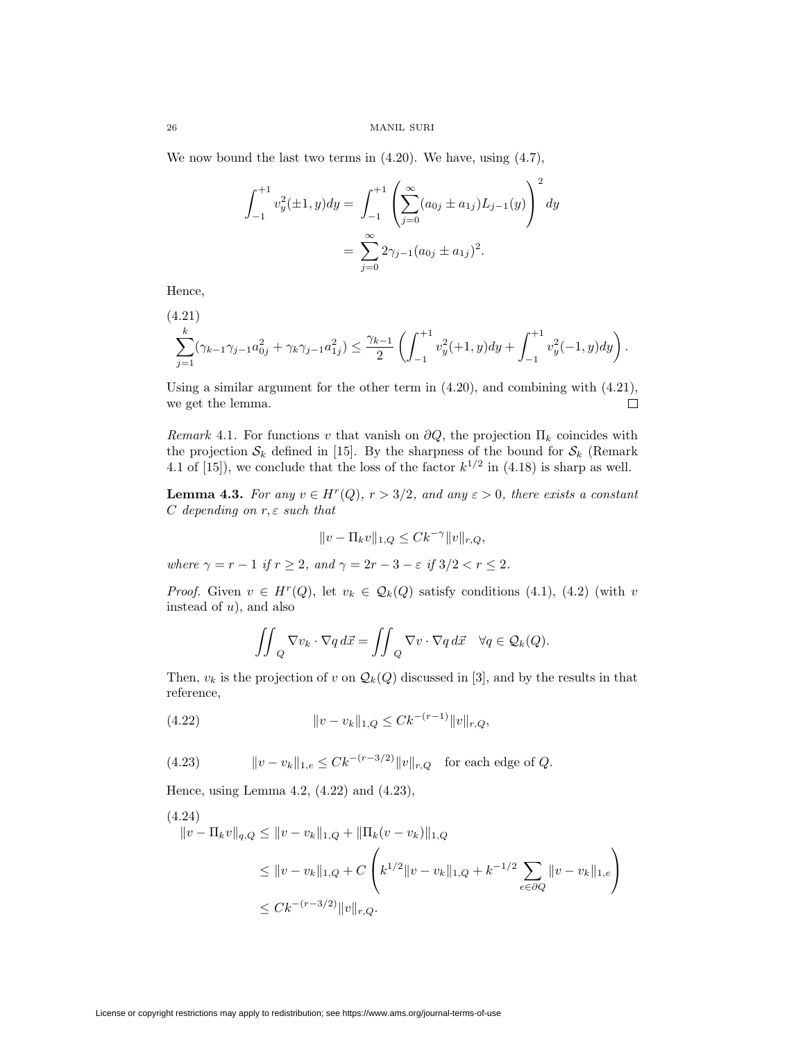We now bound the last two terms in (4.20). We have, using (4.7),

$$
\int_{-1}^{+1} v_y^2(\pm 1, y) dy = \int_{-1}^{+1} \left( \sum_{j=0}^{\infty} (a_{0j} \pm a_{1j}) L_{j-1}(y) \right)^2 dy
$$

$$
= \sum_{j=0}^{\infty} 2\gamma_{j-1} (a_{0j} \pm a_{1j})^2.
$$

Hence,

$$
\sum_{j=1}^k (\gamma_{k-1}\gamma_{j-1}a_{0j}^2 + \gamma_k\gamma_{j-1}a_{1j}^2) \le \frac{\gamma_{k-1}}{2} \left( \int_{-1}^{+1} v_y^2(+1,y) dy + \int_{-1}^{+1} v_y^2(-1,y) dy \right).
$$

Using a similar argument for the other term in (4.20), and combining with (4.21), we get the lemma.  $\Box$ 

Remark 4.1. For functions v that vanish on  $\partial Q$ , the projection  $\Pi_k$  coincides with the projection  $S_k$  defined in [15]. By the sharpness of the bound for  $S_k$  (Remark 4.1 of [15]), we conclude that the loss of the factor  $k^{1/2}$  in (4.18) is sharp as well.

**Lemma 4.3.** For any  $v \in H^r(Q)$ ,  $r > 3/2$ , and any  $\varepsilon > 0$ , there exists a constant  $C$  depending on  $r, \varepsilon$  such that

$$
||v - \Pi_k v||_{1,Q} \leq C k^{-\gamma} ||v||_{r,Q},
$$

where  $\gamma = r - 1$  if  $r \geq 2$ , and  $\gamma = 2r - 3 - \varepsilon$  if  $3/2 < r \leq 2$ .

*Proof.* Given  $v \in H^r(Q)$ , let  $v_k \in \mathcal{Q}_k(Q)$  satisfy conditions (4.1), (4.2) (with v instead of  $u$ ), and also

$$
\iint_Q \nabla v_k \cdot \nabla q \, d\vec{x} = \iint_Q \nabla v \cdot \nabla q \, d\vec{x} \quad \forall q \in \mathcal{Q}_k(Q).
$$

Then,  $v_k$  is the projection of v on  $\mathcal{Q}_k(Q)$  discussed in [3], and by the results in that reference,

(4.22) 
$$
||v - v_k||_{1,Q} \leq C k^{-(r-1)} ||v||_{r,Q},
$$

(4.23) 
$$
||v - v_k||_{1,e} \leq C k^{-(r-3/2)} ||v||_{r,Q} \text{ for each edge of } Q.
$$

Hence, using Lemma 4.2, (4.22) and (4.23),

$$
(4.24)
$$
  
\n
$$
||v - \Pi_k v||_{q,Q} \le ||v - v_k||_{1,Q} + \|\Pi_k(v - v_k)\|_{1,Q}
$$
  
\n
$$
\le ||v - v_k||_{1,Q} + C \left(k^{1/2}||v - v_k||_{1,Q} + k^{-1/2} \sum_{e \in \partial Q} ||v - v_k||_{1,e}\right)
$$
  
\n
$$
\le C k^{-(r-3/2)} ||v||_{r,Q}.
$$

License or copyright restrictions may apply to redistribution; see https://www.ams.org/journal-terms-of-use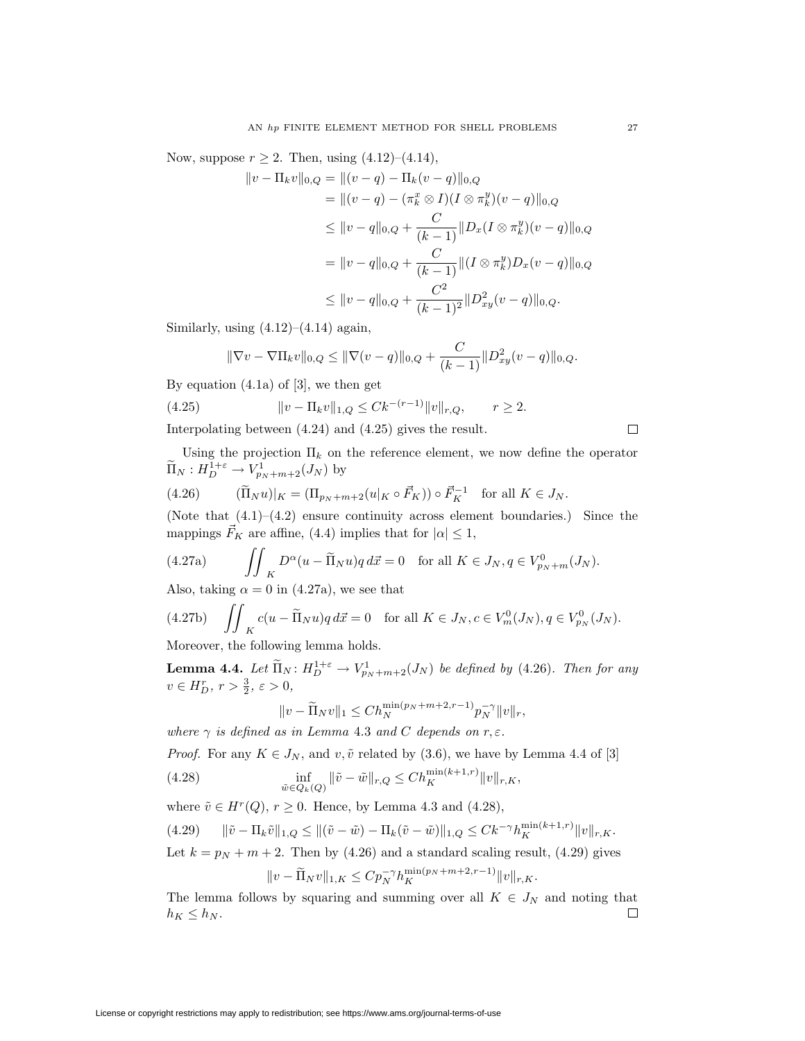Now, suppose  $r \ge 2$ . Then, using  $(4.12)$ – $(4.14)$ ,

$$
||v - \Pi_k v||_{0,Q} = ||(v - q) - \Pi_k (v - q)||_{0,Q}
$$
  
\n
$$
= ||(v - q) - (\pi_k^x \otimes I)(I \otimes \pi_k^y)(v - q)||_{0,Q}
$$
  
\n
$$
\leq ||v - q||_{0,Q} + \frac{C}{(k-1)} ||D_x (I \otimes \pi_k^y)(v - q)||_{0,Q}
$$
  
\n
$$
= ||v - q||_{0,Q} + \frac{C}{(k-1)} ||(I \otimes \pi_k^y)D_x (v - q)||_{0,Q}
$$
  
\n
$$
\leq ||v - q||_{0,Q} + \frac{C^2}{(k-1)^2} ||D^2_{xy}(v - q)||_{0,Q}.
$$

Similarly, using  $(4.12)$ – $(4.14)$  again,

$$
\|\nabla v - \nabla \Pi_k v\|_{0,Q} \le \|\nabla (v-q)\|_{0,Q} + \frac{C}{(k-1)}\|D_{xy}^2(v-q)\|_{0,Q}.
$$

By equation (4.1a) of [3], we then get

(4.25) 
$$
||v - \Pi_k v||_{1,Q} \leq C k^{-(r-1)} ||v||_{r,Q}, \qquad r \geq 2.
$$

Interpolating between (4.24) and (4.25) gives the result.

Using the projection  $\Pi_k$  on the reference element, we now define the operator  $\widetilde{\Pi}_N: H^{1+\varepsilon}_{D} \to V^1_{p_N+m+2}(J_N)$  by

(4.26) 
$$
(\widetilde{\Pi}_N u)|_K = (\Pi_{p_N + m + 2}(u|_K \circ \vec{F}_K)) \circ \vec{F}_K^{-1} \text{ for all } K \in J_N.
$$

(Note that  $(4.1)$ – $(4.2)$  ensure continuity across element boundaries.) Since the mappings  $\vec{F}_K$  are affine, (4.4) implies that for  $|\alpha| \leq 1$ ,

(4.27a) 
$$
\iint_{K} D^{\alpha}(u - \widetilde{\Pi}_{N}u) q d\vec{x} = 0 \text{ for all } K \in J_{N}, q \in V_{p_{N}+m}^{0}(J_{N}).
$$

Also, taking  $\alpha = 0$  in (4.27a), we see that

(4.27b) 
$$
\iint_{K} c(u - \widetilde{\Pi}_{N}u)q d\vec{x} = 0 \text{ for all } K \in J_{N}, c \in V_{m}^{0}(J_{N}), q \in V_{p_{N}}^{0}(J_{N}).
$$
  
Moreover, the following leaves holds

Moreover, the following lemma holds.

**Lemma 4.4.** Let  $\widetilde{\Pi}_N$ :  $H_D^{1+\varepsilon} \to V_{p_N+m+2}^1(J_N)$  be defined by (4.26). Then for any  $v \in H_D^r, r > \frac{3}{2}, \varepsilon > 0,$ 

$$
||v-\widetilde{\Pi}_N v||_1\leq Ch_N^{\min(p_N+m+2,r-1)}p_N^{-\gamma}||v||_r,
$$

where  $\gamma$  is defined as in Lemma 4.3 and C depends on r,  $\varepsilon$ .

*Proof.* For any  $K \in J_N$ , and  $v, \tilde{v}$  related by (3.6), we have by Lemma 4.4 of [3]

(4.28) 
$$
\inf_{\tilde{w}\in Q_k(Q)} \|\tilde{v}-\tilde{w}\|_{r,Q} \leq Ch_K^{\min(k+1,r)} \|v\|_{r,K},
$$

where  $\tilde{v} \in H^r(Q)$ ,  $r \geq 0$ . Hence, by Lemma 4.3 and (4.28),

$$
(4.29) \qquad \|\tilde{v} - \Pi_k \tilde{v}\|_{1,Q} \le \|\tilde{v} - \tilde{w}\|_{1,Q} - \Pi_k(\tilde{v} - \tilde{w})\|_{1,Q} \le Ck^{-\gamma} h_K^{\min(k+1,r)} \|v\|_{r,K}.
$$

Let  $k = p_N + m + 2$ . Then by (4.26) and a standard scaling result, (4.29) gives

$$
||v - \widetilde{\Pi}_N v||_{1,K} \leq C p_N^{-\gamma} h_K^{\min(p_N + m + 2, r - 1)} ||v||_{r,K}.
$$

The lemma follows by squaring and summing over all  $K \in J_N$  and noting that  $h_K \leq h_N$ .  $\Box$ 

 $\Box$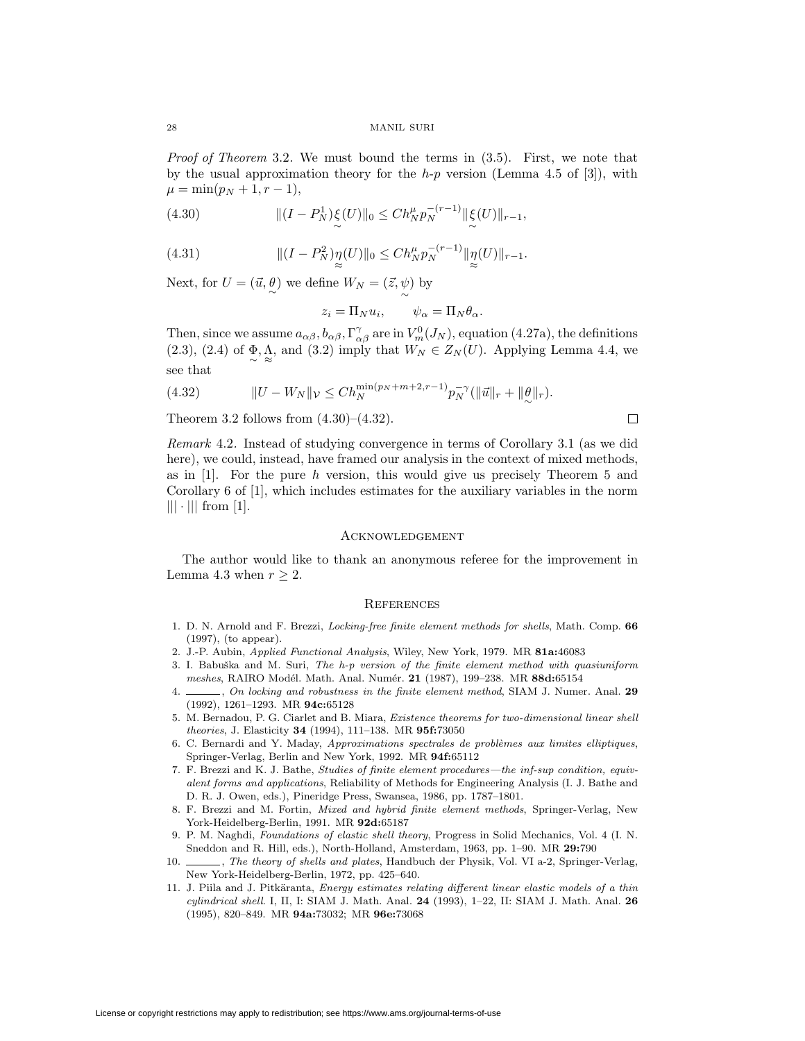Proof of Theorem 3.2. We must bound the terms in  $(3.5)$ . First, we note that by the usual approximation theory for the  $h-p$  version (Lemma 4.5 of [3]), with  $\mu = \min(p_N + 1, r - 1),$ 

(4.30) 
$$
\| (I - P_N^1) \xi(U) \|_0 \leq C h_N^{\mu} p_N^{-(r-1)} \| \xi(U) \|_{r-1},
$$

(4.31) 
$$
\| (I - P_N^2) \eta(U) \|_0 \leq C h_N^{\mu} p_N^{-(r-1)} \| \eta(U) \|_{r-1}.
$$

Next, for  $U = (\vec{u}, \stackrel{\partial}{\sim})$  we define  $W_N = (\vec{z}, \stackrel{\psi}{\sim})$  by

$$
z_i = \Pi_N u_i, \qquad \psi_\alpha = \Pi_N \theta_\alpha.
$$

Then, since we assume  $a_{\alpha\beta}$ ,  $b_{\alpha\beta}$ ,  $\Gamma^{\gamma}_{\alpha\beta}$  are in  $V^0_m(J_N)$ , equation (4.27a), the definitions (2.3), (2.4) of  $\Phi_{\sim} \Lambda$ , and (3.2) imply that  $W_N \in Z_N(U)$ . Applying Lemma 4.4, we see that

(4.32) 
$$
||U - W_N||_{\mathcal{V}} \leq Ch_N^{\min(p_N + m + 2, r - 1)} p_N^{-\gamma} (||\vec{u}||_r + ||\theta||_r).
$$

Theorem 3.2 follows from  $(4.30)$ – $(4.32)$ .

Remark 4.2. Instead of studying convergence in terms of Corollary 3.1 (as we did here), we could, instead, have framed our analysis in the context of mixed methods, as in  $[1]$ . For the pure h version, this would give us precisely Theorem 5 and Corollary 6 of [1], which includes estimates for the auxiliary variables in the norm  $||| \cdot |||$  from [1].

 $\Box$ 

#### **ACKNOWLEDGEMENT**

The author would like to thank an anonymous referee for the improvement in Lemma 4.3 when  $r \geq 2$ .

#### **REFERENCES**

- 1. D. N. Arnold and F. Brezzi, Locking-free finite element methods for shells, Math. Comp. **66** (1997), (to appear).
- 2. J.-P. Aubin, Applied Functional Analysis, Wiley, New York, 1979. MR **81a:**46083
- 3. I. Babuška and M. Suri, The  $h$ -p version of the finite element method with quasiuniform meshes, RAIRO Modél. Math. Anal. Numér. **21** (1987), 199-238. MR 88d:65154
- 4. , On locking and robustness in the finite element method, SIAM J. Numer. Anal. **29** (1992), 1261–1293. MR **94c:**65128
- 5. M. Bernadou, P. G. Ciarlet and B. Miara, Existence theorems for two-dimensional linear shell theories, J. Elasticity **34** (1994), 111–138. MR **95f:**73050
- 6. C. Bernardi and Y. Maday, Approximations spectrales de problèmes aux limites elliptiques, Springer-Verlag, Berlin and New York, 1992. MR **94f:**65112
- 7. F. Brezzi and K. J. Bathe, Studies of finite element procedures—the inf-sup condition, equivalent forms and applications, Reliability of Methods for Engineering Analysis (I. J. Bathe and D. R. J. Owen, eds.), Pineridge Press, Swansea, 1986, pp. 1787–1801.
- 8. F. Brezzi and M. Fortin, Mixed and hybrid finite element methods, Springer-Verlag, New York-Heidelberg-Berlin, 1991. MR **92d:**65187
- 9. P. M. Naghdi, Foundations of elastic shell theory, Progress in Solid Mechanics, Vol. 4 (I. N. Sneddon and R. Hill, eds.), North-Holland, Amsterdam, 1963, pp. 1–90. MR **29:**790
- 10. , The theory of shells and plates, Handbuch der Physik, Vol. VI a-2, Springer-Verlag, New York-Heidelberg-Berlin, 1972, pp. 425–640.
- 11. J. Piila and J. Pitkäranta, Energy estimates relating different linear elastic models of a thin cylindrical shell. I, II, I: SIAM J. Math. Anal. **24** (1993), 1–22, II: SIAM J. Math. Anal. **26** (1995), 820–849. MR **94a:**73032; MR **96e:**73068